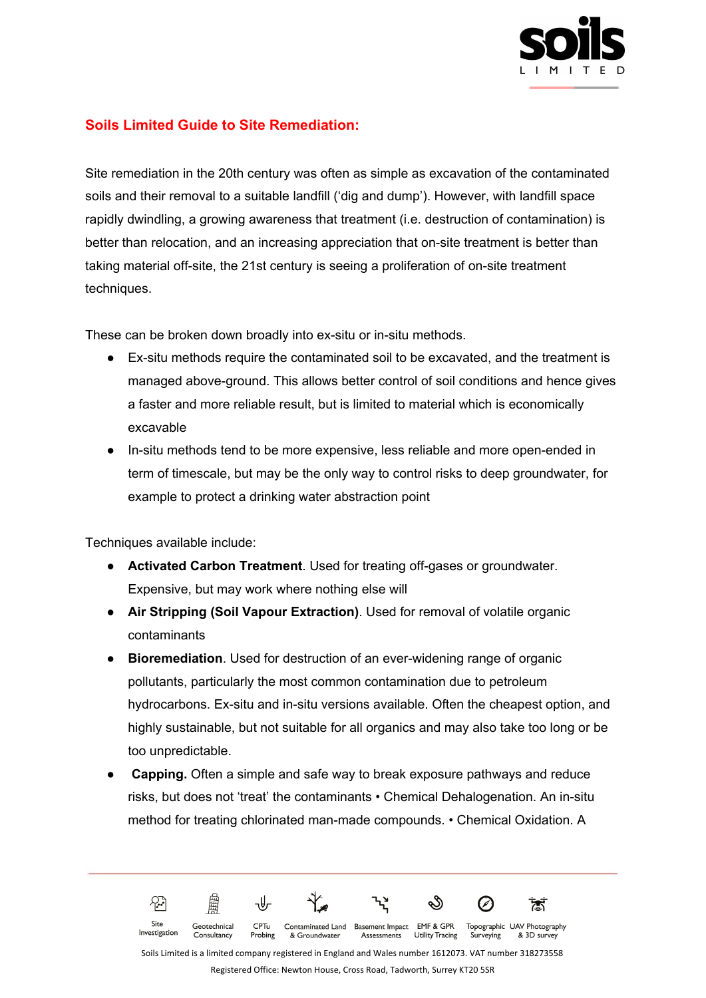

## **Soils Limited Guide to Site Remediation:**

Site remediation in the 20th century was often as simple as excavation of the contaminated soils and their removal to a suitable landfill ('dig and dump'). However, with landfill space rapidly dwindling, a growing awareness that treatment (i.e. destruction of contamination) is better than relocation, and an increasing appreciation that on-site treatment is better than taking material off-site, the 21st century is seeing a proliferation of on-site treatment techniques.

These can be broken down broadly into ex-situ or in-situ methods.

- Ex-situ methods require the contaminated soil to be excavated, and the treatment is managed above-ground. This allows better control of soil conditions and hence gives a faster and more reliable result, but is limited to material which is economically excavable
- In-situ methods tend to be more expensive, less reliable and more open-ended in term of timescale, but may be the only way to control risks to deep groundwater, for example to protect a drinking water abstraction point

Techniques available include:

- **Activated Carbon Treatment**. Used for treating off-gases or groundwater. Expensive, but may work where nothing else will
- **Air Stripping (Soil Vapour Extraction)**. Used for removal of volatile organic contaminants
- **Bioremediation**. Used for destruction of an ever-widening range of organic pollutants, particularly the most common contamination due to petroleum hydrocarbons. Ex-situ and in-situ versions available. Often the cheapest option, and highly sustainable, but not suitable for all organics and may also take too long or be too unpredictable.
- **Capping.** Often a simple and safe way to break exposure pathways and reduce risks, but does not 'treat' the contaminants • Chemical Dehalogenation. An in-situ method for treating chlorinated man-made compounds. • Chemical Oxidation. A

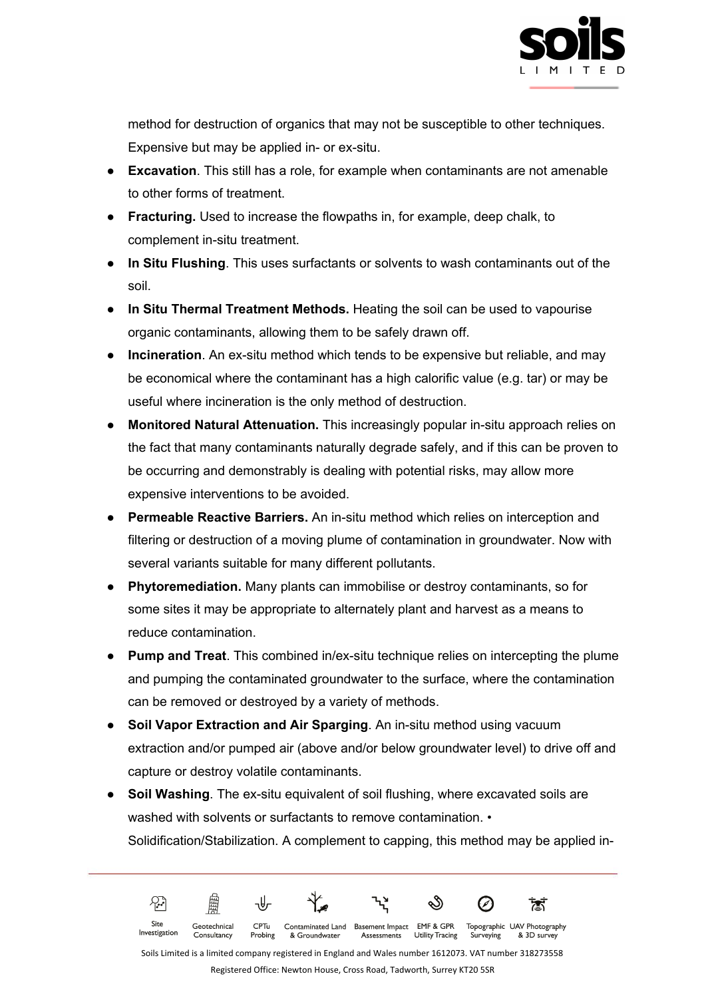

method for destruction of organics that may not be susceptible to other techniques. Expensive but may be applied in- or ex-situ.

- **Excavation**. This still has a role, for example when contaminants are not amenable to other forms of treatment.
- **Fracturing.** Used to increase the flowpaths in, for example, deep chalk, to complement in-situ treatment.
- **In Situ Flushing**. This uses surfactants or solvents to wash contaminants out of the soil.
- **In Situ Thermal Treatment Methods.** Heating the soil can be used to vapourise organic contaminants, allowing them to be safely drawn off.
- **Incineration**. An ex-situ method which tends to be expensive but reliable, and may be economical where the contaminant has a high calorific value (e.g. tar) or may be useful where incineration is the only method of destruction.
- **Monitored Natural Attenuation.** This increasingly popular in-situ approach relies on the fact that many contaminants naturally degrade safely, and if this can be proven to be occurring and demonstrably is dealing with potential risks, may allow more expensive interventions to be avoided.
- **Permeable Reactive Barriers.** An in-situ method which relies on interception and filtering or destruction of a moving plume of contamination in groundwater. Now with several variants suitable for many different pollutants.
- Phytoremediation. Many plants can immobilise or destroy contaminants, so for some sites it may be appropriate to alternately plant and harvest as a means to reduce contamination.
- **Pump and Treat**. This combined in/ex-situ technique relies on intercepting the plume and pumping the contaminated groundwater to the surface, where the contamination can be removed or destroyed by a variety of methods.
- **Soil Vapor Extraction and Air Sparging**. An in-situ method using vacuum extraction and/or pumped air (above and/or below groundwater level) to drive off and capture or destroy volatile contaminants.
- **Soil Washing**. The ex-situ equivalent of soil flushing, where excavated soils are washed with solvents or surfactants to remove contamination. • Solidification/Stabilization. A complement to capping, this method may be applied in-